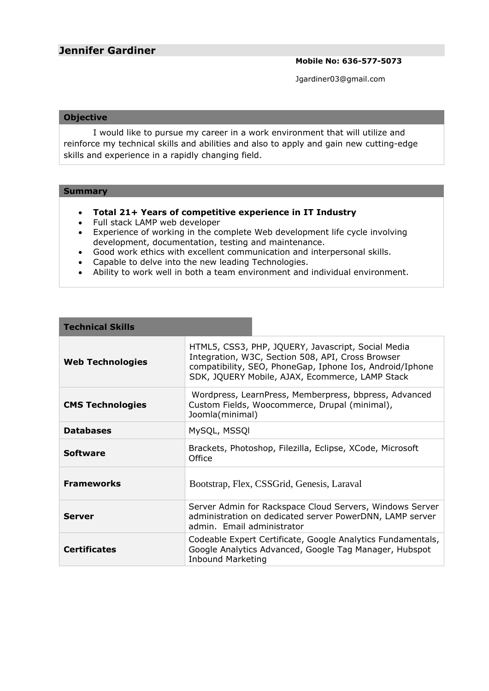**Mobile No: 636-577-5073**

Jgardiner03@gmail.com

## **Objective**

I would like to pursue my career in a work environment that will utilize and reinforce my technical skills and abilities and also to apply and gain new cutting-edge skills and experience in a rapidly changing field.

## **Summary**

- **Total 21+ Years of competitive experience in IT Industry**
- Full stack LAMP web developer
- Experience of working in the complete Web development life cycle involving development, documentation, testing and maintenance.
- Good work ethics with excellent communication and interpersonal skills.
- Capable to delve into the new leading Technologies.
- Ability to work well in both a team environment and individual environment.

| <b>Technical Skills</b> |                                                                                                                                                                                                                        |                                                                                                                                                    |  |
|-------------------------|------------------------------------------------------------------------------------------------------------------------------------------------------------------------------------------------------------------------|----------------------------------------------------------------------------------------------------------------------------------------------------|--|
| <b>Web Technologies</b> | HTML5, CSS3, PHP, JQUERY, Javascript, Social Media<br>Integration, W3C, Section 508, API, Cross Browser<br>compatibility, SEO, PhoneGap, Iphone Ios, Android/Iphone<br>SDK, JQUERY Mobile, AJAX, Ecommerce, LAMP Stack |                                                                                                                                                    |  |
| <b>CMS Technologies</b> | Wordpress, LearnPress, Memberpress, bbpress, Advanced<br>Custom Fields, Woocommerce, Drupal (minimal),<br>Joomla(minimal)                                                                                              |                                                                                                                                                    |  |
| <b>Databases</b>        | MySQL, MSSQI                                                                                                                                                                                                           |                                                                                                                                                    |  |
| <b>Software</b>         | Brackets, Photoshop, Filezilla, Eclipse, XCode, Microsoft<br>Office                                                                                                                                                    |                                                                                                                                                    |  |
| <b>Frameworks</b>       | Bootstrap, Flex, CSSGrid, Genesis, Laraval                                                                                                                                                                             |                                                                                                                                                    |  |
| Server                  |                                                                                                                                                                                                                        | Server Admin for Rackspace Cloud Servers, Windows Server<br>administration on dedicated server PowerDNN, LAMP server<br>admin. Email administrator |  |
| <b>Certificates</b>     | Codeable Expert Certificate, Google Analytics Fundamentals,<br>Google Analytics Advanced, Google Tag Manager, Hubspot<br><b>Inbound Marketing</b>                                                                      |                                                                                                                                                    |  |